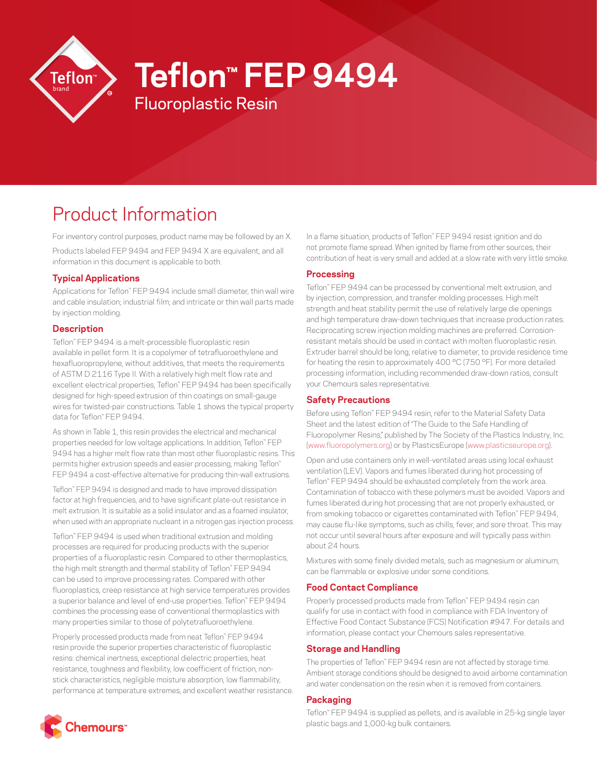

# **Teflon™ FEP 9494**

# Product Information

For inventory control purposes, product name may be followed by an X.

Fluoroplastic Resin

Products labeled FEP 9494 and FEP 9494 X are equivalent, and all information in this document is applicable to both.

## **Typical Applications**

Applications for Teflon™ FEP 9494 include small diameter, thin wall wire and cable insulation; industrial film; and intricate or thin wall parts made by injection molding.

## **Description**

Teflon™ FEP 9494 is a melt-processible fluoroplastic resin available in pellet form. It is a copolymer of tetrafluoroethylene and hexafluoropropylene, without additives, that meets the requirements of ASTM D 2116 Type II. With a relatively high melt flow rate and excellent electrical properties, Teflon™ FEP 9494 has been specifically designed for high-speed extrusion of thin coatings on small-gauge wires for twisted-pair constructions. Table 1 shows the typical property data for Teflon™ FEP 9494.

As shown in Table 1, this resin provides the electrical and mechanical properties needed for low voltage applications. In addition, Teflon™ FEP 9494 has a higher melt flow rate than most other fluoroplastic resins. This permits higher extrusion speeds and easier processing, making Teflon™ FEP 9494 a cost-effective alternative for producing thin-wall extrusions.

Teflon™ FEP 9494 is designed and made to have improved dissipation factor at high frequencies, and to have significant plate-out resistance in melt extrusion. It is suitable as a solid insulator and as a foamed insulator, when used with an appropriate nucleant in a nitrogen gas injection process.

Teflon™ FEP 9494 is used when traditional extrusion and molding processes are required for producing products with the superior properties of a fluoroplastic resin. Compared to other thermoplastics, the high melt strength and thermal stability of Teflon™ FEP 9494 can be used to improve processing rates. Compared with other fluoroplastics, creep resistance at high service temperatures provides a superior balance and level of end-use properties. Teflon™ FEP 9494 combines the processing ease of conventional thermoplastics with many properties similar to those of polytetrafluoroethylene.

Properly processed products made from neat Teflon™ FEP 9494 resin provide the superior properties characteristic of fluoroplastic resins: chemical inertness, exceptional dielectric properties, heat resistance, toughness and flexibility, low coefficient of friction, nonstick characteristics, negligible moisture absorption, low flammability, performance at temperature extremes, and excellent weather resistance.

In a flame situation, products of Teflon™ FEP 9494 resist ignition and do not promote flame spread. When ignited by flame from other sources, their contribution of heat is very small and added at a slow rate with very little smoke.

# **Processing**

Teflon™ FEP 9494 can be processed by conventional melt extrusion, and by injection, compression, and transfer molding processes. High melt strength and heat stability permit the use of relatively large die openings and high temperature draw-down techniques that increase production rates. Reciprocating screw injection molding machines are preferred. Corrosionresistant metals should be used in contact with molten fluoroplastic resin. Extruder barrel should be long, relative to diameter, to provide residence time for heating the resin to approximately 400 °C (750 °F). For more detailed processing information, including recommended draw-down ratios, consult your Chemours sales representative.

#### **Safety Precautions**

Before using Teflon™ FEP 9494 resin, refer to the Material Safety Data Sheet and the latest edition of "The Guide to the Safe Handling of Fluoropolymer Resins," published by The Society of the Plastics Industry, Inc. [\(www.fluoropolymers.org](http://www.fluoropolymers.org)) or by PlasticsEurope ([www.plasticseurope.org](http://www.plasticseurope.org)).

Open and use containers only in well-ventilated areas using local exhaust ventilation (LEV). Vapors and fumes liberated during hot processing of Teflon™ FEP 9494 should be exhausted completely from the work area. Contamination of tobacco with these polymers must be avoided. Vapors and fumes liberated during hot processing that are not properly exhausted, or from smoking tobacco or cigarettes contaminated with Teflon™ FEP 9494, may cause flu-like symptoms, such as chills, fever, and sore throat. This may not occur until several hours after exposure and will typically pass within about 24 hours.

Mixtures with some finely divided metals, such as magnesium or aluminum, can be flammable or explosive under some conditions.

#### **Food Contact Compliance**

Properly processed products made from Teflon™ FEP 9494 resin can qualify for use in contact with food in compliance with FDA Inventory of Effective Food Contact Substance (FCS) Notification #947. For details and information, please contact your Chemours sales representative.

#### **Storage and Handling**

The properties of Teflon™ FEP 9494 resin are not affected by storage time. Ambient storage conditions should be designed to avoid airborne contamination and water condensation on the resin when it is removed from containers.

#### **Packaging**

Teflon™ FEP 9494 is supplied as pellets, and is available in 25-kg single layer plastic bags and 1,000-kg bulk containers.